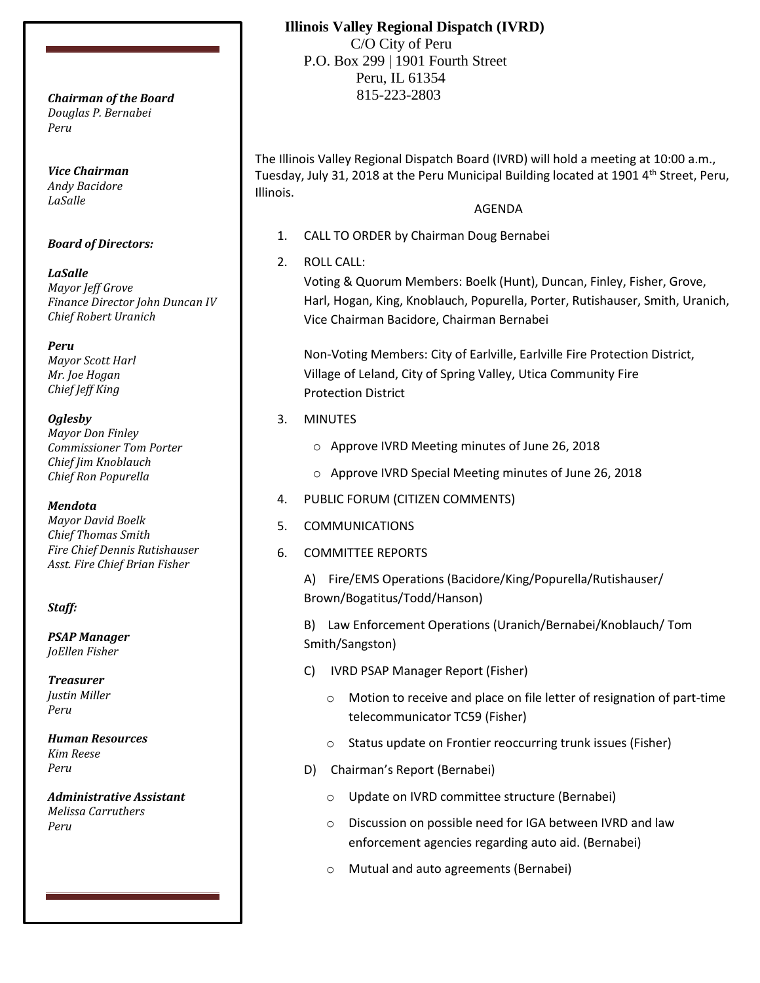*Douglas P. Bernabei Peru*

*Vice Chairman Andy Bacidore LaSalle*

### *Board of Directors:*

*LaSalle Mayor Jeff Grove Finance Director John Duncan IV Chief Robert Uranich*

*Peru Mayor Scott Harl Mr. Joe Hogan Chief Jeff King*

### *Oglesby*

*Mayor Don Finley Commissioner Tom Porter Chief Jim Knoblauch Chief Ron Popurella*

### *Mendota*

*Mayor David Boelk Chief Thomas Smith Fire Chief Dennis Rutishauser Asst. Fire Chief Brian Fisher*

### *Staff:*

*PSAP Manager JoEllen Fisher*

*Treasurer Justin Miller Peru*

*Human Resources Kim Reese Peru*

*Administrative Assistant Melissa Carruthers Peru*

# **Illinois Valley Regional Dispatch (IVRD)**

 C/O City of Peru P.O. Box 299 | 1901 Fourth Street Peru, IL 61354 815-223-2803 *Chairman of the Board*

> The Illinois Valley Regional Dispatch Board (IVRD) will hold a meeting at 10:00 a.m., Tuesday, July 31, 2018 at the Peru Municipal Building located at 1901  $4<sup>th</sup>$  Street, Peru, Illinois.

### AGENDA

- 1. CALL TO ORDER by Chairman Doug Bernabei
- 2. ROLL CALL:

Voting & Quorum Members: Boelk (Hunt), Duncan, Finley, Fisher, Grove, Harl, Hogan, King, Knoblauch, Popurella, Porter, Rutishauser, Smith, Uranich, Vice Chairman Bacidore, Chairman Bernabei

Non-Voting Members: City of Earlville, Earlville Fire Protection District, Village of Leland, City of Spring Valley, Utica Community Fire Protection District

- 3. MINUTES
	- o Approve IVRD Meeting minutes of June 26, 2018
	- o Approve IVRD Special Meeting minutes of June 26, 2018
- 4. PUBLIC FORUM (CITIZEN COMMENTS)
- 5. COMMUNICATIONS
- 6. COMMITTEE REPORTS

A) Fire/EMS Operations (Bacidore/King/Popurella/Rutishauser/ Brown/Bogatitus/Todd/Hanson)

B) Law Enforcement Operations (Uranich/Bernabei/Knoblauch/ Tom Smith/Sangston)

- C) IVRD PSAP Manager Report (Fisher)
	- o Motion to receive and place on file letter of resignation of part-time telecommunicator TC59 (Fisher)
	- o Status update on Frontier reoccurring trunk issues (Fisher)
- D) Chairman's Report (Bernabei)
	- o Update on IVRD committee structure (Bernabei)
	- o Discussion on possible need for IGA between IVRD and law enforcement agencies regarding auto aid. (Bernabei)
	- o Mutual and auto agreements (Bernabei)